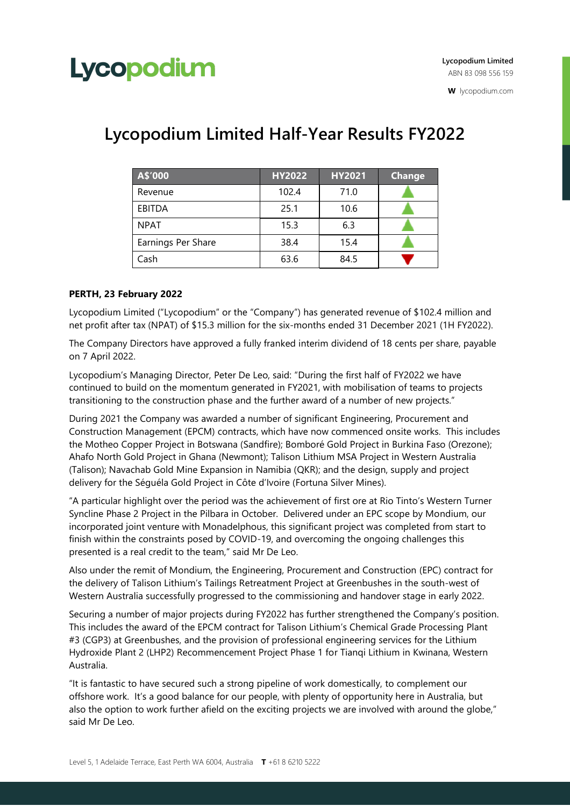## Lycopodium

**W** lycopodium.com

| A\$'000            | <b>HY2022</b> | <b>HY2021</b> | <b>Change</b> |
|--------------------|---------------|---------------|---------------|
| Revenue            | 102.4         | 71.0          |               |
| EBITDA             | 25.1          | 10.6          |               |
| <b>NPAT</b>        | 15.3          | 6.3           |               |
| Earnings Per Share | 38.4          | 15.4          |               |
| Cash               | 63.6          | 84.5          |               |

### **Lycopodium Limited Half-Year Results FY2022**

### **PERTH, 23 February 2022**

Lycopodium Limited ("Lycopodium" or the "Company") has generated revenue of \$102.4 million and net profit after tax (NPAT) of \$15.3 million for the six-months ended 31 December 2021 (1H FY2022).

The Company Directors have approved a fully franked interim dividend of 18 cents per share, payable on 7 April 2022.

Lycopodium's Managing Director, Peter De Leo, said: "During the first half of FY2022 we have continued to build on the momentum generated in FY2021, with mobilisation of teams to projects transitioning to the construction phase and the further award of a number of new projects."

During 2021 the Company was awarded a number of significant Engineering, Procurement and Construction Management (EPCM) contracts, which have now commenced onsite works. This includes the Motheo Copper Project in Botswana (Sandfire); Bomboré Gold Project in Burkina Faso (Orezone); Ahafo North Gold Project in Ghana (Newmont); Talison Lithium MSA Project in Western Australia (Talison); Navachab Gold Mine Expansion in Namibia (QKR); and the design, supply and project delivery for the Séguéla Gold Project in Côte d'Ivoire (Fortuna Silver Mines).

"A particular highlight over the period was the achievement of first ore at Rio Tinto's Western Turner Syncline Phase 2 Project in the Pilbara in October. Delivered under an EPC scope by Mondium, our incorporated joint venture with Monadelphous, this significant project was completed from start to finish within the constraints posed by COVID-19, and overcoming the ongoing challenges this presented is a real credit to the team," said Mr De Leo.

Also under the remit of Mondium, the Engineering, Procurement and Construction (EPC) contract for the delivery of Talison Lithium's Tailings Retreatment Project at Greenbushes in the south-west of Western Australia successfully progressed to the commissioning and handover stage in early 2022.

Securing a number of major projects during FY2022 has further strengthened the Company's position. This includes the award of the EPCM contract for Talison Lithium's Chemical Grade Processing Plant #3 (CGP3) at Greenbushes, and the provision of professional engineering services for the Lithium Hydroxide Plant 2 (LHP2) Recommencement Project Phase 1 for Tianqi Lithium in Kwinana, Western Australia.

"It is fantastic to have secured such a strong pipeline of work domestically, to complement our offshore work. It's a good balance for our people, with plenty of opportunity here in Australia, but also the option to work further afield on the exciting projects we are involved with around the globe," said Mr De Leo.